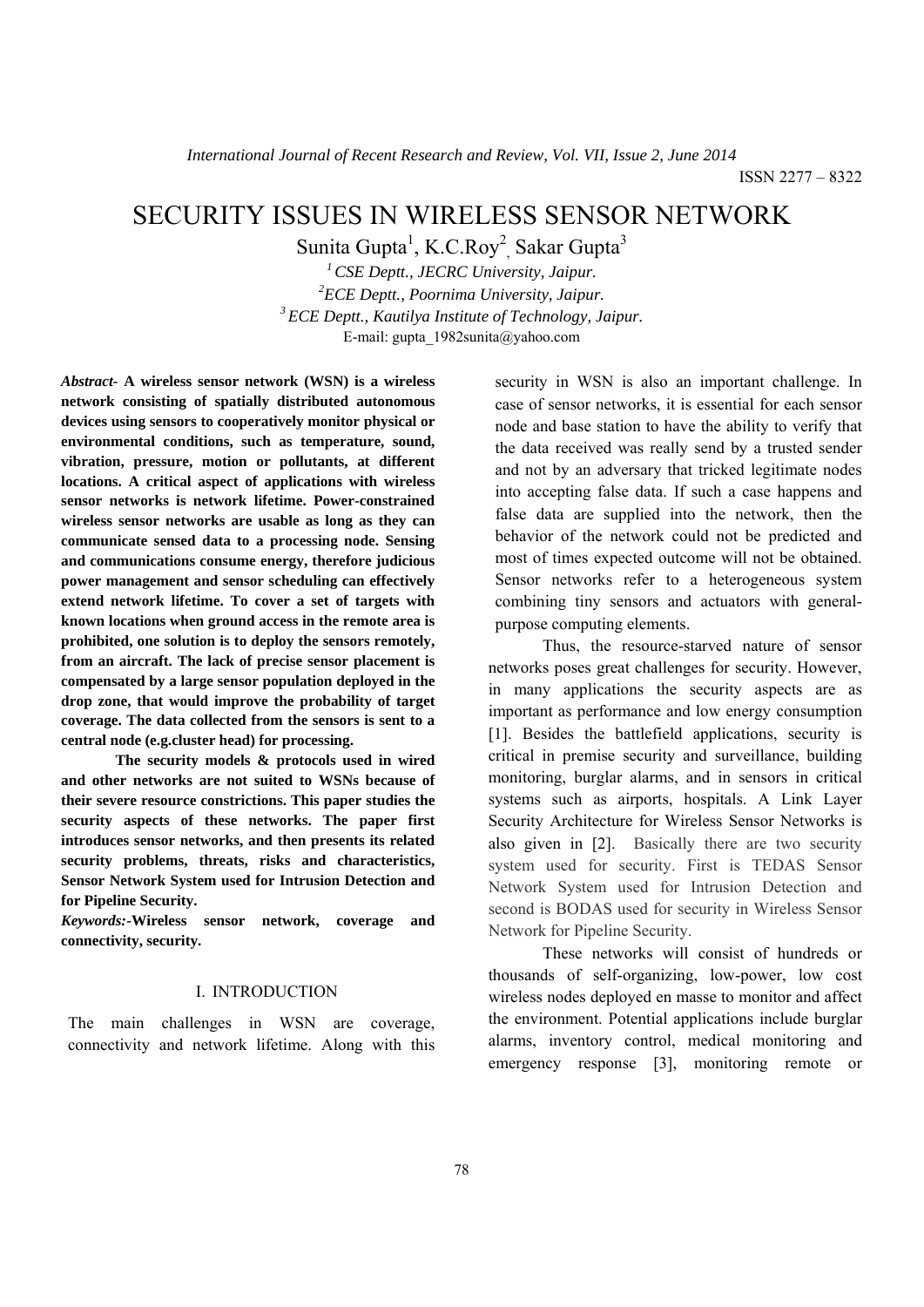# SECURITY ISSUES IN WIRELESS SENSOR NETWORK

Sunita Gupta<sup>1</sup>, K.C.Roy<sup>2</sup>, Sakar Gupta<sup>3</sup>

*1 CSE Deptt., JECRC University, Jaipur. 2 ECE Deptt., Poornima University, Jaipur. 3 ECE Deptt., Kautilya Institute of Technology, Jaipur.*  E-mail: gupta\_1982sunita@yahoo.com

*Abstract-* **A wireless sensor network (WSN) is a wireless network consisting of spatially distributed autonomous devices using sensors to cooperatively monitor physical or environmental conditions, such as temperature, sound, vibration, pressure, motion or pollutants, at different locations. A critical aspect of applications with wireless sensor networks is network lifetime. Power-constrained wireless sensor networks are usable as long as they can communicate sensed data to a processing node. Sensing and communications consume energy, therefore judicious power management and sensor scheduling can effectively extend network lifetime. To cover a set of targets with known locations when ground access in the remote area is prohibited, one solution is to deploy the sensors remotely, from an aircraft. The lack of precise sensor placement is compensated by a large sensor population deployed in the drop zone, that would improve the probability of target coverage. The data collected from the sensors is sent to a central node (e.g.cluster head) for processing.** 

**The security models & protocols used in wired and other networks are not suited to WSNs because of their severe resource constrictions. This paper studies the security aspects of these networks. The paper first introduces sensor networks, and then presents its related security problems, threats, risks and characteristics, Sensor Network System used for Intrusion Detection and for Pipeline Security.** 

*Keywords:-***Wireless sensor network, coverage and connectivity, security.**

## I. INTRODUCTION

The main challenges in WSN are coverage, connectivity and network lifetime. Along with this security in WSN is also an important challenge. In case of sensor networks, it is essential for each sensor node and base station to have the ability to verify that the data received was really send by a trusted sender and not by an adversary that tricked legitimate nodes into accepting false data. If such a case happens and false data are supplied into the network, then the behavior of the network could not be predicted and most of times expected outcome will not be obtained. Sensor networks refer to a heterogeneous system combining tiny sensors and actuators with generalpurpose computing elements.

Thus, the resource-starved nature of sensor networks poses great challenges for security. However, in many applications the security aspects are as important as performance and low energy consumption [1]. Besides the battlefield applications, security is critical in premise security and surveillance, building monitoring, burglar alarms, and in sensors in critical systems such as airports, hospitals. A Link Layer Security Architecture for Wireless Sensor Networks is also given in [2]. Basically there are two security system used for security. First is TEDAS Sensor Network System used for Intrusion Detection and second is BODAS used for security in Wireless Sensor Network for Pipeline Security.

These networks will consist of hundreds or thousands of self-organizing, low-power, low cost wireless nodes deployed en masse to monitor and affect the environment. Potential applications include burglar alarms, inventory control, medical monitoring and emergency response [3], monitoring remote or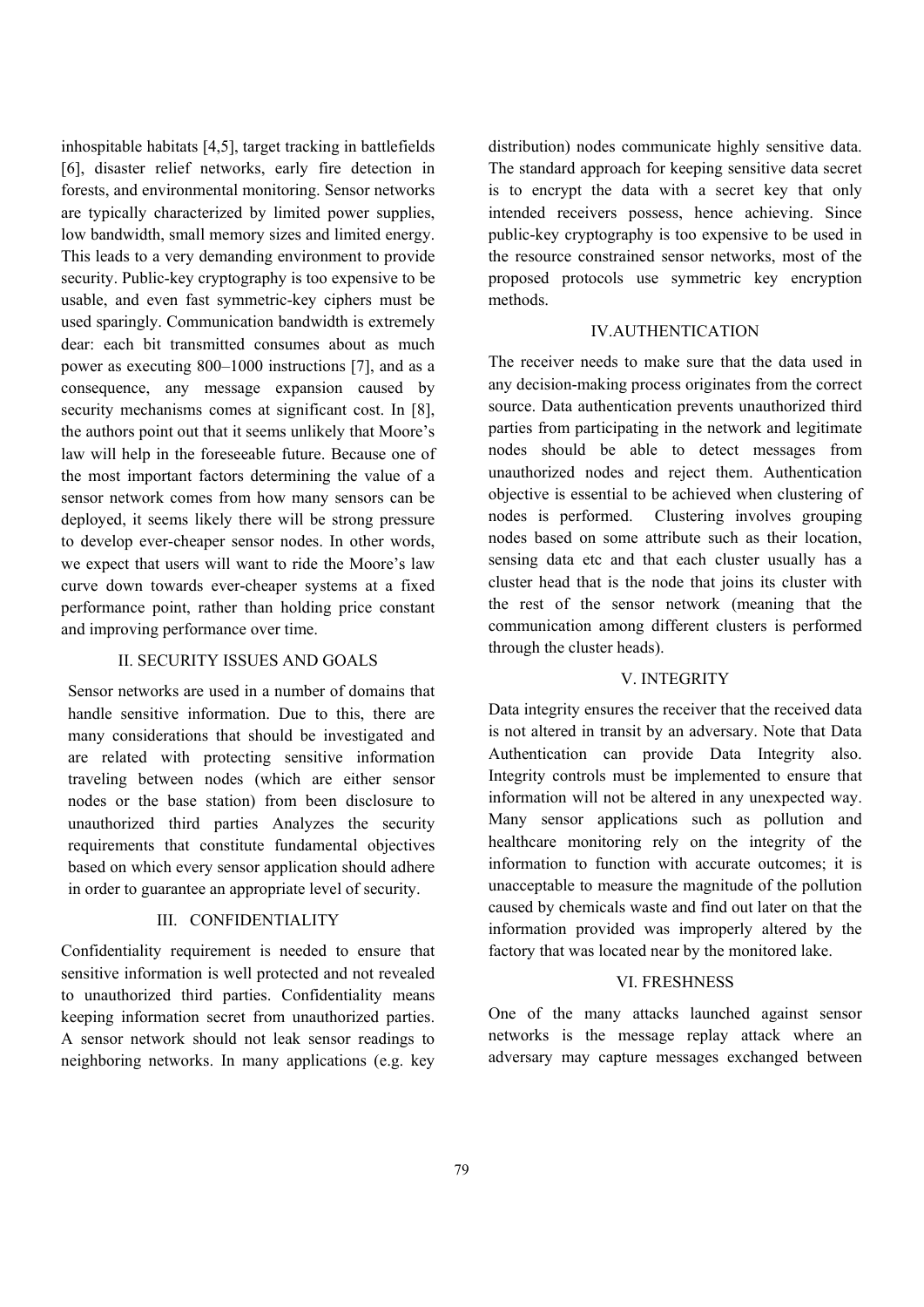inhospitable habitats [4,5], target tracking in battlefields [6], disaster relief networks, early fire detection in forests, and environmental monitoring. Sensor networks are typically characterized by limited power supplies, low bandwidth, small memory sizes and limited energy. This leads to a very demanding environment to provide security. Public-key cryptography is too expensive to be usable, and even fast symmetric-key ciphers must be used sparingly. Communication bandwidth is extremely dear: each bit transmitted consumes about as much power as executing 800–1000 instructions [7], and as a consequence, any message expansion caused by security mechanisms comes at significant cost. In [8], the authors point out that it seems unlikely that Moore's law will help in the foreseeable future. Because one of the most important factors determining the value of a sensor network comes from how many sensors can be deployed, it seems likely there will be strong pressure to develop ever-cheaper sensor nodes. In other words, we expect that users will want to ride the Moore's law curve down towards ever-cheaper systems at a fixed performance point, rather than holding price constant and improving performance over time.

# II. SECURITY ISSUES AND GOALS

Sensor networks are used in a number of domains that handle sensitive information. Due to this, there are many considerations that should be investigated and are related with protecting sensitive information traveling between nodes (which are either sensor nodes or the base station) from been disclosure to unauthorized third parties Analyzes the security requirements that constitute fundamental objectives based on which every sensor application should adhere in order to guarantee an appropriate level of security.

#### III. CONFIDENTIALITY

Confidentiality requirement is needed to ensure that sensitive information is well protected and not revealed to unauthorized third parties. Confidentiality means keeping information secret from unauthorized parties. A sensor network should not leak sensor readings to neighboring networks. In many applications (e.g. key distribution) nodes communicate highly sensitive data. The standard approach for keeping sensitive data secret is to encrypt the data with a secret key that only intended receivers possess, hence achieving. Since public-key cryptography is too expensive to be used in the resource constrained sensor networks, most of the proposed protocols use symmetric key encryption methods.

# IV.AUTHENTICATION

The receiver needs to make sure that the data used in any decision-making process originates from the correct source. Data authentication prevents unauthorized third parties from participating in the network and legitimate nodes should be able to detect messages from unauthorized nodes and reject them. Authentication objective is essential to be achieved when clustering of nodes is performed. Clustering involves grouping nodes based on some attribute such as their location, sensing data etc and that each cluster usually has a cluster head that is the node that joins its cluster with the rest of the sensor network (meaning that the communication among different clusters is performed through the cluster heads).

#### V. INTEGRITY

Data integrity ensures the receiver that the received data is not altered in transit by an adversary. Note that Data Authentication can provide Data Integrity also. Integrity controls must be implemented to ensure that information will not be altered in any unexpected way. Many sensor applications such as pollution and healthcare monitoring rely on the integrity of the information to function with accurate outcomes; it is unacceptable to measure the magnitude of the pollution caused by chemicals waste and find out later on that the information provided was improperly altered by the factory that was located near by the monitored lake.

## VI. FRESHNESS

One of the many attacks launched against sensor networks is the message replay attack where an adversary may capture messages exchanged between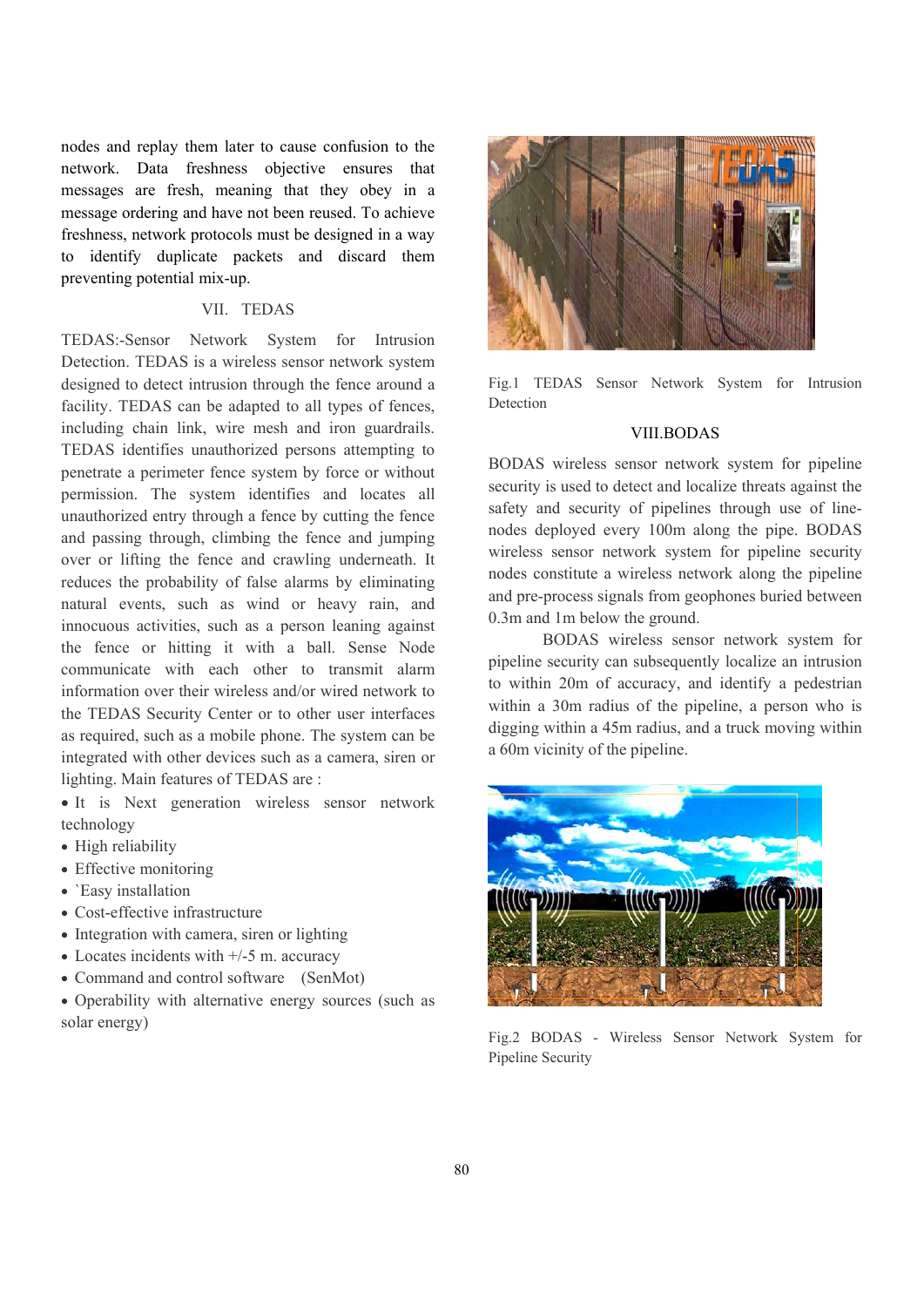nodes and replay them later to cause confusion to the network. Data freshness objective ensures that messages are fresh, meaning that they obey in a message ordering and have not been reused. To achieve freshness, network protocols must be designed in a way to identify duplicate packets and discard them preventing potential mix-up.

# VII. TEDAS

TEDAS:-Sensor Network System for Intrusion Detection. TEDAS is a wireless sensor network system designed to detect intrusion through the fence around a facility. TEDAS can be adapted to all types of fences, including chain link, wire mesh and iron guardrails. TEDAS identifies unauthorized persons attempting to penetrate a perimeter fence system by force or without permission. The system identifies and locates all unauthorized entry through a fence by cutting the fence and passing through, climbing the fence and jumping over or lifting the fence and crawling underneath. It reduces the probability of false alarms by eliminating natural events, such as wind or heavy rain, and innocuous activities, such as a person leaning against the fence or hitting it with a ball. Sense Node communicate with each other to transmit alarm information over their wireless and/or wired network to the TEDAS Security Center or to other user interfaces as required, such as a mobile phone. The system can be integrated with other devices such as a camera, siren or lighting. Main features of TEDAS are :

- It is Next generation wireless sensor network technology
- High reliability
- Effective monitoring
- `Easy installation
- Cost-effective infrastructure
- Integration with camera, siren or lighting
- Locates incidents with  $+/-5$  m. accuracy
- Command and control software (SenMot)
- Operability with alternative energy sources (such as solar energy)



Fig.1 TEDAS Sensor Network System for Intrusion Detection

# VIII.BODAS

BODAS wireless sensor network system for pipeline security is used to detect and localize threats against the safety and security of pipelines through use of linenodes deployed every 100m along the pipe. BODAS wireless sensor network system for pipeline security nodes constitute a wireless network along the pipeline and pre-process signals from geophones buried between 0.3m and 1m below the ground.

BODAS wireless sensor network system for pipeline security can subsequently localize an intrusion to within 20m of accuracy, and identify a pedestrian within a 30m radius of the pipeline, a person who is digging within a 45m radius, and a truck moving within a 60m vicinity of the pipeline.



Fig.2 BODAS - Wireless Sensor Network System for Pipeline Security